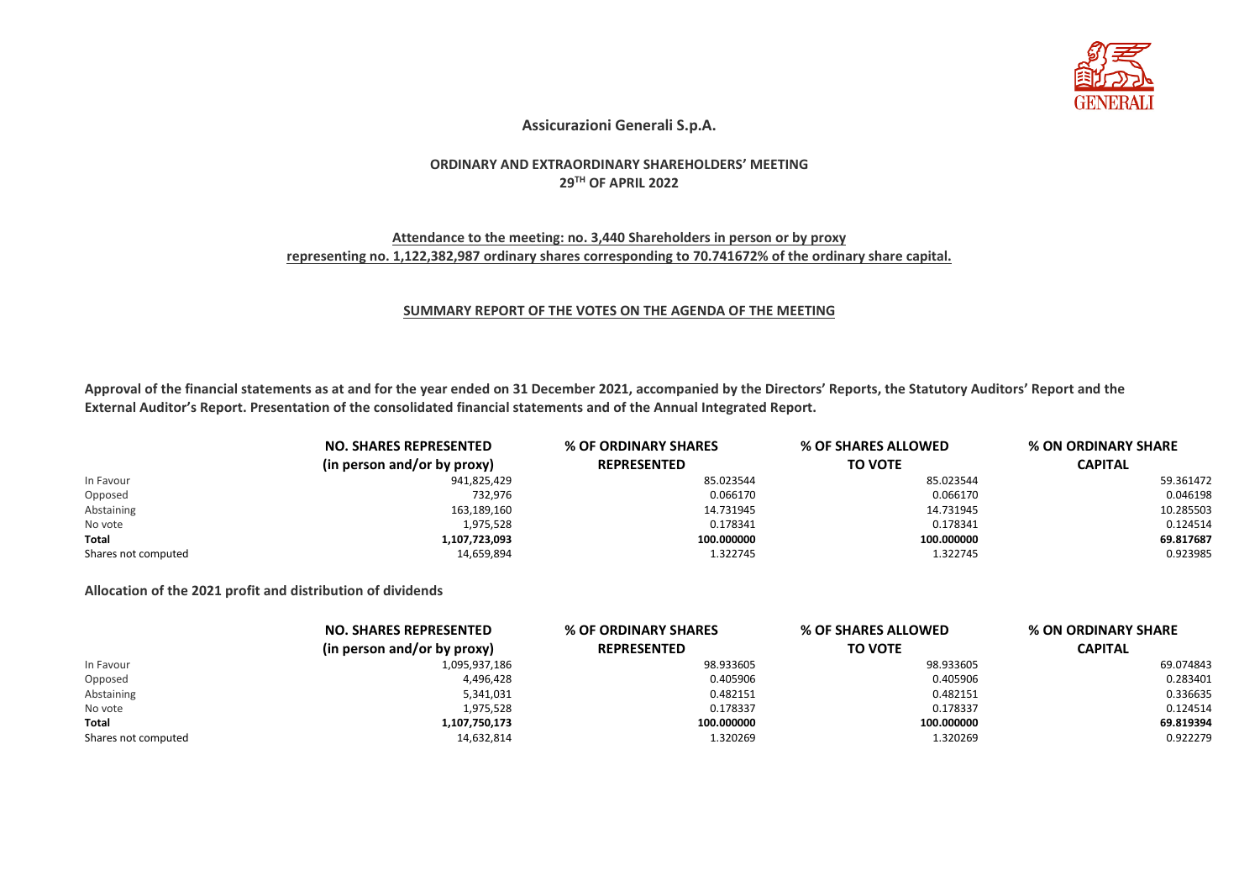

## **Assicurazioni Generali S.p.A.**

#### **ORDINARY AND EXTRAORDINARY SHAREHOLDERS' MEETING 29TH OF APRIL 2022**

## **Attendance to the meeting: no. 3,440 Shareholders in person or by proxy representing no. 1,122,382,987 ordinary shares corresponding to 70.741672% of the ordinary share capital.**

#### **SUMMARY REPORT OF THE VOTES ON THE AGENDA OF THE MEETING**

**Approval of the financial statements as at and for the year ended on 31 December 2021, accompanied by the Directors' Reports, the Statutory Auditors' Report and the External Auditor's Report. Presentation of the consolidated financial statements and of the Annual Integrated Report.**

|                     | <b>NO. SHARES REPRESENTED</b> | % OF ORDINARY SHARES | % OF SHARES ALLOWED<br>% ON ORDINARY SHARE |                |
|---------------------|-------------------------------|----------------------|--------------------------------------------|----------------|
|                     | (in person and/or by proxy)   | <b>REPRESENTED</b>   | <b>TO VOTE</b>                             | <b>CAPITAL</b> |
| In Favour           | 941,825,429                   | 85.023544            | 85.023544                                  | 59.361472      |
| Opposed             | 732,976                       | 0.066170             | 0.066170                                   | 0.046198       |
| Abstaining          | 163,189,160                   | 14.731945            | 14.731945                                  | 10.285503      |
| No vote             | 1,975,528                     | 0.178341             | 0.178341                                   | 0.124514       |
| Total               | 1,107,723,093                 | 100.000000           | 100.000000                                 | 69.817687      |
| Shares not computed | 14,659,894                    | 1.322745             | 1.322745                                   | 0.923985       |

#### **Allocation of the 2021 profit and distribution of dividends**

|                     | <b>NO. SHARES REPRESENTED</b> | <b>% OF ORDINARY SHARES</b> | % OF SHARES ALLOWED | <b>% ON ORDINARY SHARE</b> |
|---------------------|-------------------------------|-----------------------------|---------------------|----------------------------|
|                     | (in person and/or by proxy)   | <b>REPRESENTED</b>          | <b>TO VOTE</b>      | <b>CAPITAL</b>             |
| In Favour           | 1,095,937,186                 | 98.933605                   | 98.933605           | 69.074843                  |
| Opposed             | 4,496,428                     | 0.405906                    | 0.405906            | 0.283401                   |
| Abstaining          | 5,341,031                     | 0.482151                    | 0.482151            | 0.336635                   |
| No vote             | 1,975,528                     | 0.178337                    | 0.178337            | 0.124514                   |
| <b>Total</b>        | 1,107,750,173                 | 100.000000                  | 100.000000          | 69.819394                  |
| Shares not computed | 14,632,814                    | 1.320269                    | 1.320269            | 0.922279                   |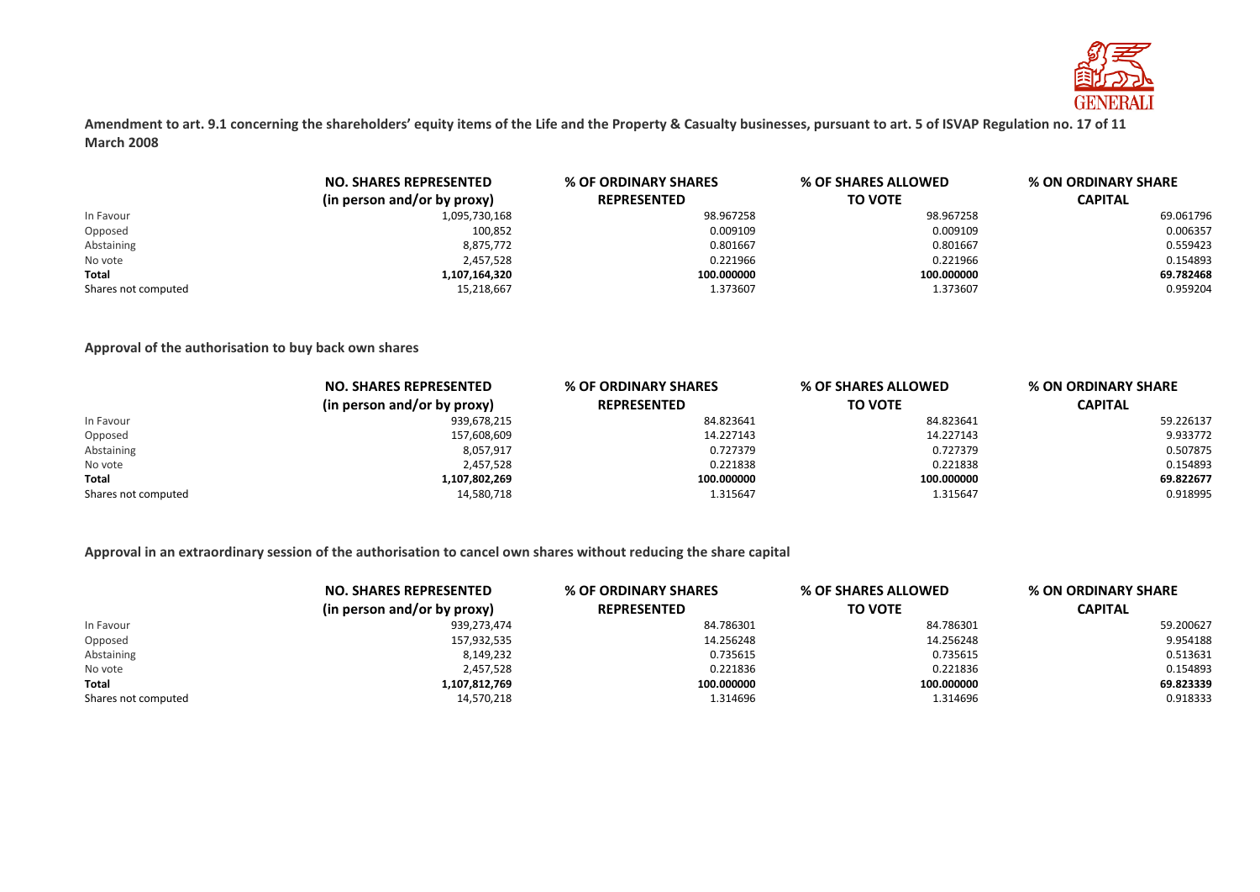

**Amendment to art. 9.1 concerning the shareholders' equity items of the Life and the Property & Casualty businesses, pursuant to art. 5 of ISVAP Regulation no. 17 of 11 March 2008**

|                     | <b>NO. SHARES REPRESENTED</b> | % OF ORDINARY SHARES | % OF SHARES ALLOWED | % ON ORDINARY SHARE |
|---------------------|-------------------------------|----------------------|---------------------|---------------------|
|                     | (in person and/or by proxy)   | <b>REPRESENTED</b>   | <b>TO VOTE</b>      | <b>CAPITAL</b>      |
| In Favour           | 1,095,730,168                 | 98.967258            | 98.967258           | 69.061796           |
| Opposed             | 100,852                       | 0.009109             | 0.009109            | 0.006357            |
| Abstaining          | 8,875,772                     | 0.801667             | 0.801667            | 0.559423            |
| No vote             | 2,457,528                     | 0.221966             | 0.221966            | 0.154893            |
| <b>Total</b>        | 1,107,164,320                 | 100.000000           | 100.000000          | 69.782468           |
| Shares not computed | 15,218,667                    | 1.373607             | 1.373607            | 0.959204            |

### **Approval of the authorisation to buy back own shares**

|                     | <b>NO. SHARES REPRESENTED</b> | % OF ORDINARY SHARES | % OF SHARES ALLOWED |                |  | % ON ORDINARY SHARE |
|---------------------|-------------------------------|----------------------|---------------------|----------------|--|---------------------|
|                     | (in person and/or by proxy)   | <b>REPRESENTED</b>   | <b>TO VOTE</b>      | <b>CAPITAL</b> |  |                     |
| In Favour           | 939,678,215                   | 84.823641            | 84.823641           | 59.226137      |  |                     |
| Opposed             | 157,608,609                   | 14.227143            | 14.227143           | 9.933772       |  |                     |
| Abstaining          | 8,057,917                     | 0.727379             | 0.727379            | 0.507875       |  |                     |
| No vote             | 2,457,528                     | 0.221838             | 0.221838            | 0.154893       |  |                     |
| <b>Total</b>        | 1,107,802,269                 | 100.000000           | 100.000000          | 69.822677      |  |                     |
| Shares not computed | 14,580,718                    | 1.315647             | 1.315647            | 0.918995       |  |                     |

## **Approval in an extraordinary session of the authorisation to cancel own shares without reducing the share capital**

|                     | <b>NO. SHARES REPRESENTED</b> | % OF ORDINARY SHARES | <b>% OF SHARES ALLOWED</b> | % ON ORDINARY SHARE |
|---------------------|-------------------------------|----------------------|----------------------------|---------------------|
|                     | (in person and/or by proxy)   | <b>REPRESENTED</b>   | TO VOTE                    | <b>CAPITAL</b>      |
| In Favour           | 939,273,474                   | 84.786301            | 84.786301                  | 59.200627           |
| Opposed             | 157,932,535                   | 14.256248            | 14.256248                  | 9.954188            |
| Abstaining          | 8,149,232                     | 0.735615             | 0.735615                   | 0.513631            |
| No vote             | 2,457,528                     | 0.221836             | 0.221836                   | 0.154893            |
| Total               | 1,107,812,769                 | 100.000000           | 100.000000                 | 69.823339           |
| Shares not computed | 14,570,218                    | 1.314696             | 1.314696                   | 0.918333            |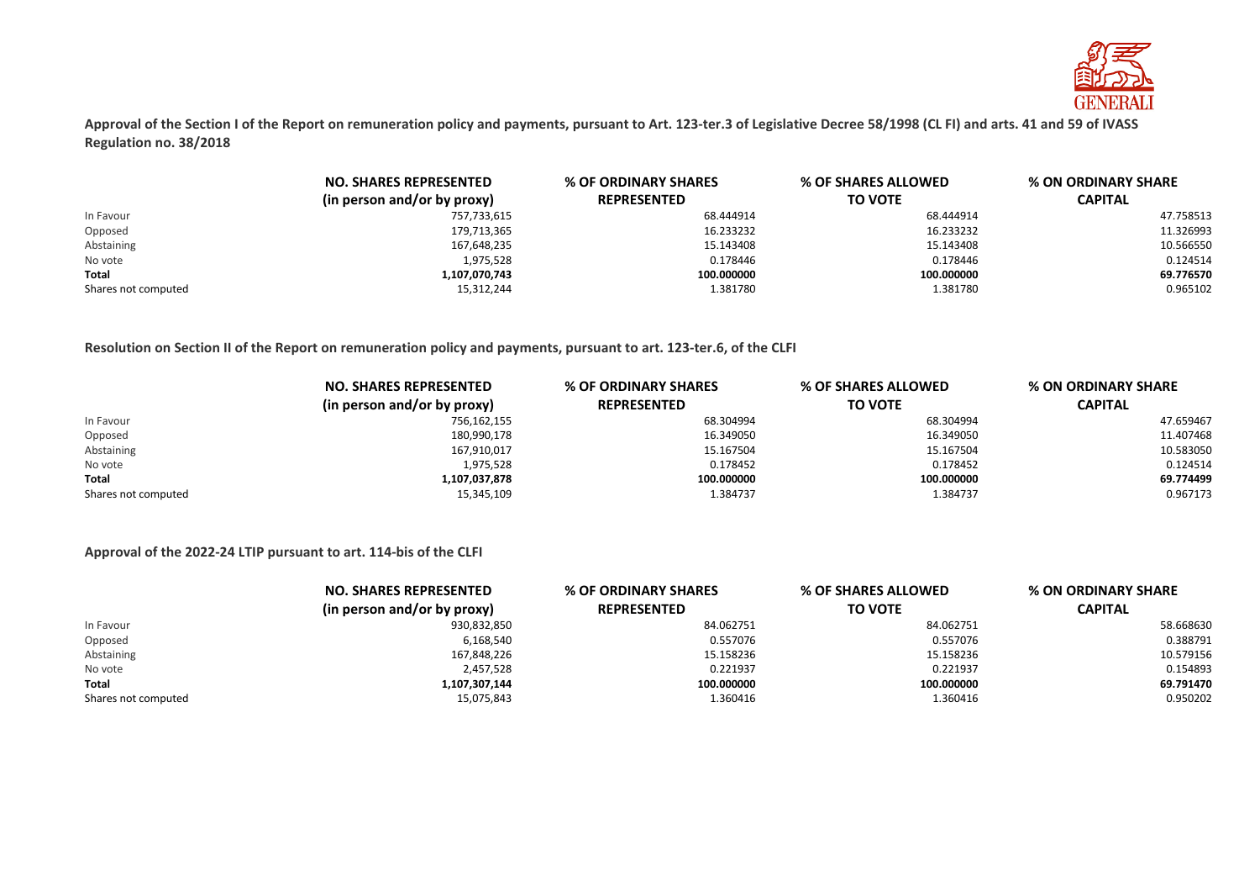

**Approval of the Section I of the Report on remuneration policy and payments, pursuant to Art. 123-ter.3 of Legislative Decree 58/1998 (CL FI) and arts. 41 and 59 of IVASS Regulation no. 38/2018**

|                     | <b>NO. SHARES REPRESENTED</b> | % OF ORDINARY SHARES | % OF SHARES ALLOWED | <b>% ON ORDINARY SHARE</b> |
|---------------------|-------------------------------|----------------------|---------------------|----------------------------|
|                     | (in person and/or by proxy)   | <b>REPRESENTED</b>   | <b>TO VOTE</b>      | <b>CAPITAL</b>             |
| In Favour           | 757,733,615                   | 68.444914            | 68.444914           | 47.758513                  |
| Opposed             | 179,713,365                   | 16.233232            | 16.233232           | 11.326993                  |
| Abstaining          | 167,648,235                   | 15.143408            | 15.143408           | 10.566550                  |
| No vote             | 1,975,528                     | 0.178446             | 0.178446            | 0.124514                   |
| <b>Total</b>        | 1,107,070,743                 | 100.000000           | 100.000000          | 69.776570                  |
| Shares not computed | 15,312,244                    | 1.381780             | 1.381780            | 0.965102                   |

**Resolution on Section II of the Report on remuneration policy and payments, pursuant to art. 123-ter.6, of the CLFI**

|                     | <b>NO. SHARES REPRESENTED</b><br>(in person and/or by proxy) | % OF ORDINARY SHARES | <b>% ON ORDINARY SHARE</b><br>% OF SHARES ALLOWED |                |
|---------------------|--------------------------------------------------------------|----------------------|---------------------------------------------------|----------------|
|                     |                                                              | <b>REPRESENTED</b>   | <b>TO VOTE</b>                                    | <b>CAPITAL</b> |
| In Favour           | 756,162,155                                                  | 68.304994            | 68.304994                                         | 47.659467      |
| Opposed             | 180,990,178                                                  | 16.349050            | 16.349050                                         | 11.407468      |
| Abstaining          | 167,910,017                                                  | 15.167504            | 15.167504                                         | 10.583050      |
| No vote             | 1,975,528                                                    | 0.178452             | 0.178452                                          | 0.124514       |
| <b>Total</b>        | 1,107,037,878                                                | 100.000000           | 100.000000                                        | 69.774499      |
| Shares not computed | 15,345,109                                                   | 1.384737             | 1.384737                                          | 0.967173       |

#### **Approval of the 2022-24 LTIP pursuant to art. 114-bis of the CLFI**

|                     | <b>NO. SHARES REPRESENTED</b> | <b>% OF ORDINARY SHARES</b> | % OF SHARES ALLOWED | <b>% ON ORDINARY SHARE</b> |
|---------------------|-------------------------------|-----------------------------|---------------------|----------------------------|
|                     | (in person and/or by proxy)   | <b>REPRESENTED</b>          | <b>TO VOTE</b>      | CAPITAL                    |
| In Favour           | 930,832,850                   | 84.062751                   | 84.062751           | 58.668630                  |
| Opposed             | 6,168,540                     | 0.557076                    | 0.557076            | 0.388791                   |
| Abstaining          | 167,848,226                   | 15.158236                   | 15.158236           | 10.579156                  |
| No vote             | 2,457,528                     | 0.221937                    | 0.221937            | 0.154893                   |
| <b>Total</b>        | 1,107,307,144                 | 100.000000                  | 100.000000          | 69.791470                  |
| Shares not computed | 15,075,843                    | 1.360416                    | 1.360416            | 0.950202                   |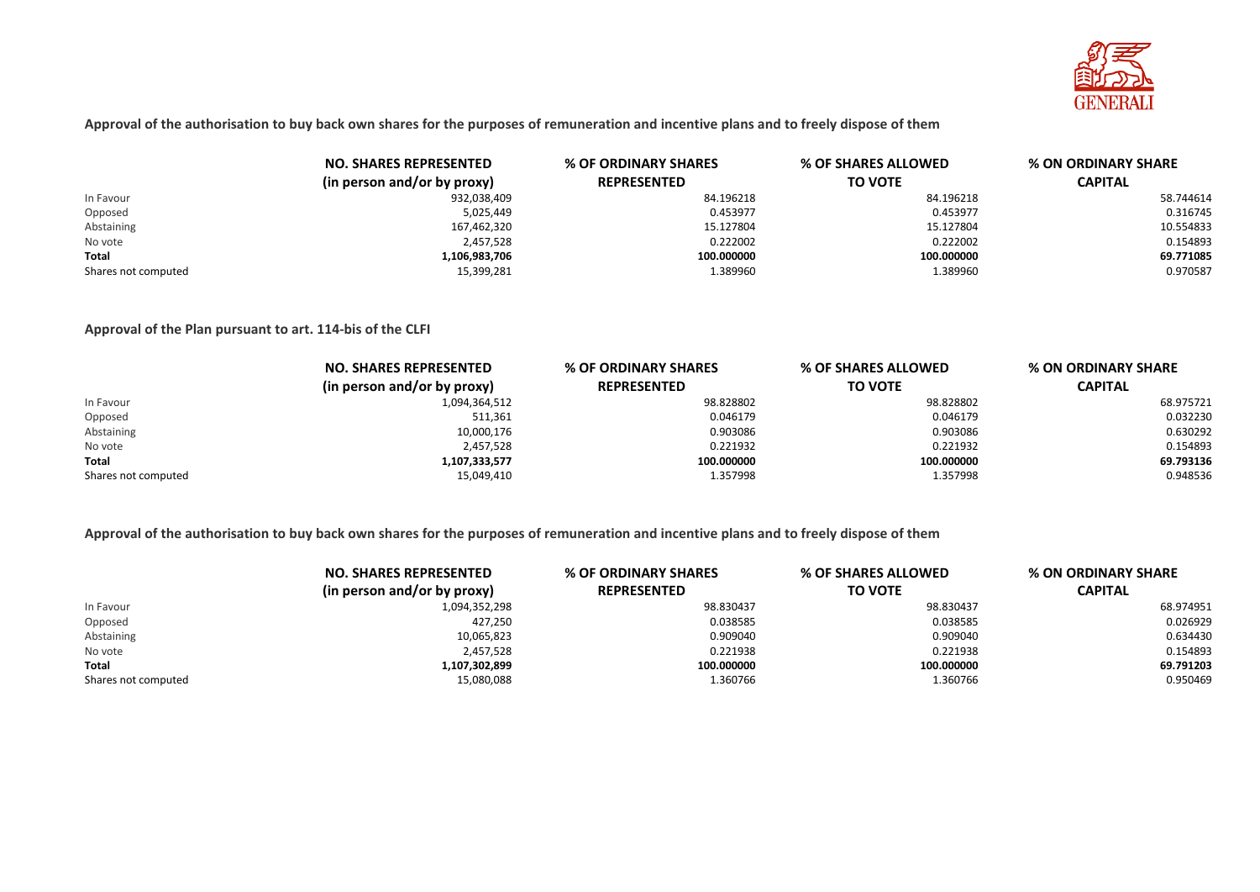

**Approval of the authorisation to buy back own shares for the purposes of remuneration and incentive plans and to freely dispose of them**

|                     | <b>NO. SHARES REPRESENTED</b> | % OF ORDINARY SHARES | <b>% OF SHARES ALLOWED</b> | % ON ORDINARY SHARE |
|---------------------|-------------------------------|----------------------|----------------------------|---------------------|
|                     | (in person and/or by proxy)   | <b>REPRESENTED</b>   | <b>TO VOTE</b>             | <b>CAPITAL</b>      |
| In Favour           | 932,038,409                   | 84.196218            | 84.196218                  | 58.744614           |
| Opposed             | 5,025,449                     | 0.453977             | 0.453977                   | 0.316745            |
| Abstaining          | 167,462,320                   | 15.127804            | 15.127804                  | 10.554833           |
| No vote             | 2,457,528                     | 0.222002             | 0.222002                   | 0.154893            |
| Total               | 1,106,983,706                 | 100.000000           | 100.000000                 | 69.771085           |
| Shares not computed | 15,399,281                    | 1.389960             | 1.389960                   | 0.970587            |

**Approval of the Plan pursuant to art. 114-bis of the CLFI**

|                     | <b>NO. SHARES REPRESENTED</b> | % OF ORDINARY SHARES | % OF SHARES ALLOWED | % ON ORDINARY SHARE |
|---------------------|-------------------------------|----------------------|---------------------|---------------------|
|                     | (in person and/or by proxy)   | <b>REPRESENTED</b>   | <b>TO VOTE</b>      | <b>CAPITAL</b>      |
| In Favour           | 1,094,364,512                 | 98.828802            | 98.828802           | 68.975721           |
| Opposed             | 511,361                       | 0.046179             | 0.046179            | 0.032230            |
| Abstaining          | 10,000,176                    | 0.903086             | 0.903086            | 0.630292            |
| No vote             | 2,457,528                     | 0.221932             | 0.221932            | 0.154893            |
| Total               | 1,107,333,577                 | 100.000000           | 100.000000          | 69.793136           |
| Shares not computed | 15,049,410                    | 1.357998             | 1.357998            | 0.948536            |

**Approval of the authorisation to buy back own shares for the purposes of remuneration and incentive plans and to freely dispose of them**

|                     | <b>NO. SHARES REPRESENTED</b> | % OF ORDINARY SHARES | % OF SHARES ALLOWED<br><b>% ON ORDINARY SHARE</b> |                |
|---------------------|-------------------------------|----------------------|---------------------------------------------------|----------------|
|                     | (in person and/or by proxy)   | <b>REPRESENTED</b>   | <b>TO VOTE</b>                                    | <b>CAPITAL</b> |
| In Favour           | 1,094,352,298                 | 98.830437            | 98.830437                                         | 68.974951      |
| Opposed             | 427,250                       | 0.038585             | 0.038585                                          | 0.026929       |
| Abstaining          | 10,065,823                    | 0.909040             | 0.909040                                          | 0.634430       |
| No vote             | 2,457,528                     | 0.221938             | 0.221938                                          | 0.154893       |
| <b>Total</b>        | 1,107,302,899                 | 100.000000           | 100.000000                                        | 69.791203      |
| Shares not computed | 15,080,088                    | 1.360766             | 1.360766                                          | 0.950469       |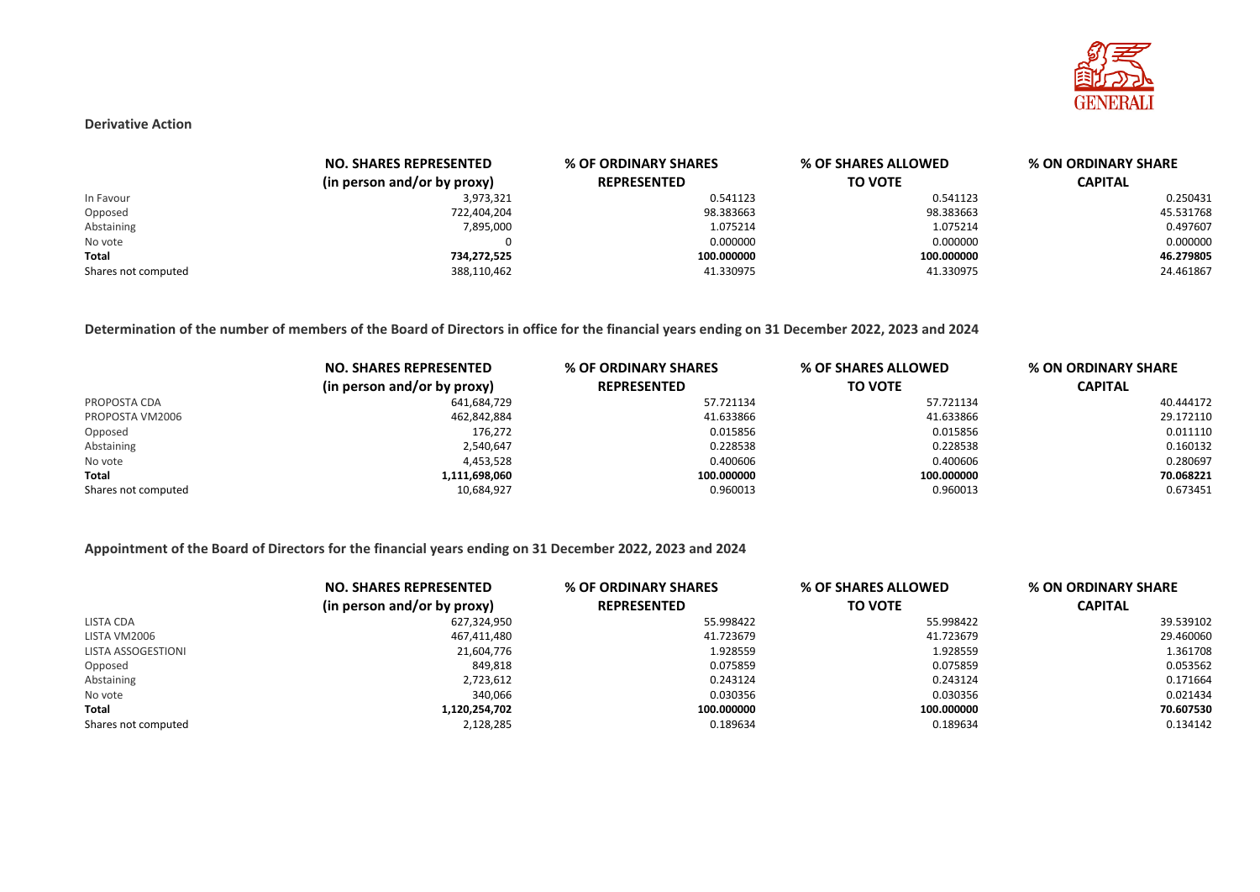

#### **Derivative Action**

|                     | <b>NO. SHARES REPRESENTED</b> | % OF ORDINARY SHARES | % OF SHARES ALLOWED | % ON ORDINARY SHARE |
|---------------------|-------------------------------|----------------------|---------------------|---------------------|
|                     | (in person and/or by proxy)   | <b>REPRESENTED</b>   | <b>TO VOTE</b>      | <b>CAPITAL</b>      |
| In Favour           | 3,973,321                     | 0.541123             | 0.541123            | 0.250431            |
| Opposed             | 722,404,204                   | 98.383663            | 98.383663           | 45.531768           |
| Abstaining          | 7,895,000                     | 1.075214             | 1.075214            | 0.497607            |
| No vote             |                               | 0.000000             | 0.000000            | 0.000000            |
| Total               | 734,272,525                   | 100.000000           | 100.000000          | 46.279805           |
| Shares not computed | 388,110,462                   | 41.330975            | 41.330975           | 24.461867           |

**Determination of the number of members of the Board of Directors in office for the financial years ending on 31 December 2022, 2023 and 2024**

|                     | <b>NO. SHARES REPRESENTED</b> | % OF ORDINARY SHARES | % OF SHARES ALLOWED | % ON ORDINARY SHARE |
|---------------------|-------------------------------|----------------------|---------------------|---------------------|
|                     | (in person and/or by proxy)   | <b>REPRESENTED</b>   | <b>TO VOTE</b>      | <b>CAPITAL</b>      |
| PROPOSTA CDA        | 641,684,729                   | 57.721134            | 57.721134           | 40.444172           |
| PROPOSTA VM2006     | 462,842,884                   | 41.633866            | 41.633866           | 29.172110           |
| Opposed             | 176.272                       | 0.015856             | 0.015856            | 0.011110            |
| Abstaining          | 2,540,647                     | 0.228538             | 0.228538            | 0.160132            |
| No vote             | 4,453,528                     | 0.400606             | 0.400606            | 0.280697            |
| Total               | 1,111,698,060                 | 100.000000           | 100.000000          | 70.068221           |
| Shares not computed | 10,684,927                    | 0.960013             | 0.960013            | 0.673451            |

## **Appointment of the Board of Directors for the financial years ending on 31 December 2022, 2023 and 2024**

|                     | <b>NO. SHARES REPRESENTED</b><br>(in person and/or by proxy) | % OF ORDINARY SHARES<br><b>REPRESENTED</b> | <b>% OF SHARES ALLOWED</b><br><b>TO VOTE</b> | % ON ORDINARY SHARE<br><b>CAPITAL</b> |
|---------------------|--------------------------------------------------------------|--------------------------------------------|----------------------------------------------|---------------------------------------|
| LISTA CDA           | 627,324,950                                                  | 55.998422                                  | 55.998422                                    | 39.539102                             |
|                     |                                                              |                                            |                                              |                                       |
| LISTA VM2006        | 467,411,480                                                  | 41.723679                                  | 41.723679                                    | 29.460060                             |
| LISTA ASSOGESTIONI  | 21,604,776                                                   | 1.928559                                   | 1.928559                                     | 1.361708                              |
| Opposed             | 849,818                                                      | 0.075859                                   | 0.075859                                     | 0.053562                              |
| Abstaining          | 2,723,612                                                    | 0.243124                                   | 0.243124                                     | 0.171664                              |
| No vote             | 340.066                                                      | 0.030356                                   | 0.030356                                     | 0.021434                              |
| <b>Total</b>        | 1,120,254,702                                                | 100.000000                                 | 100.000000                                   | 70.607530                             |
| Shares not computed | 2,128,285                                                    | 0.189634                                   | 0.189634                                     | 0.134142                              |